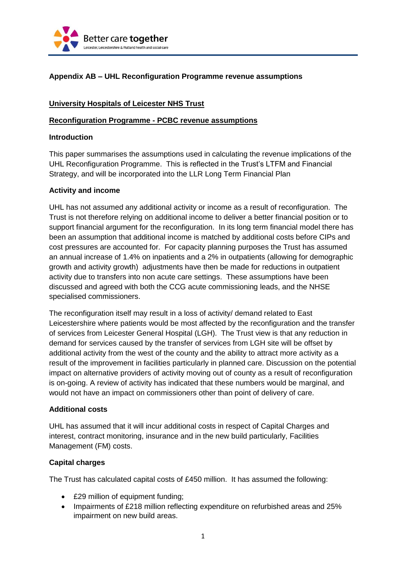

# **Appendix AB – UHL Reconfiguration Programme revenue assumptions**

## **University Hospitals of Leicester NHS Trust**

#### **Reconfiguration Programme - PCBC revenue assumptions**

#### **Introduction**

This paper summarises the assumptions used in calculating the revenue implications of the UHL Reconfiguration Programme. This is reflected in the Trust's LTFM and Financial Strategy, and will be incorporated into the LLR Long Term Financial Plan

#### **Activity and income**

UHL has not assumed any additional activity or income as a result of reconfiguration. The Trust is not therefore relying on additional income to deliver a better financial position or to support financial argument for the reconfiguration. In its long term financial model there has been an assumption that additional income is matched by additional costs before CIPs and cost pressures are accounted for. For capacity planning purposes the Trust has assumed an annual increase of 1.4% on inpatients and a 2% in outpatients (allowing for demographic growth and activity growth) adjustments have then be made for reductions in outpatient activity due to transfers into non acute care settings. These assumptions have been discussed and agreed with both the CCG acute commissioning leads, and the NHSE specialised commissioners.

The reconfiguration itself may result in a loss of activity/ demand related to East Leicestershire where patients would be most affected by the reconfiguration and the transfer of services from Leicester General Hospital (LGH). The Trust view is that any reduction in demand for services caused by the transfer of services from LGH site will be offset by additional activity from the west of the county and the ability to attract more activity as a result of the improvement in facilities particularly in planned care. Discussion on the potential impact on alternative providers of activity moving out of county as a result of reconfiguration is on-going. A review of activity has indicated that these numbers would be marginal, and would not have an impact on commissioners other than point of delivery of care.

#### **Additional costs**

UHL has assumed that it will incur additional costs in respect of Capital Charges and interest, contract monitoring, insurance and in the new build particularly, Facilities Management (FM) costs.

## **Capital charges**

The Trust has calculated capital costs of £450 million. It has assumed the following:

- £29 million of equipment funding;
- Impairments of £218 million reflecting expenditure on refurbished areas and 25% impairment on new build areas.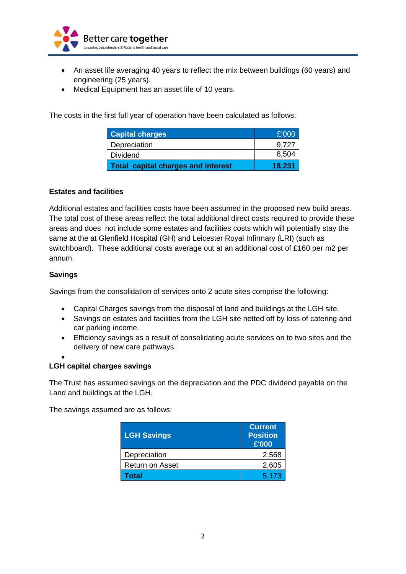

- An asset life averaging 40 years to reflect the mix between buildings (60 years) and engineering (25 years).
- Medical Equipment has an asset life of 10 years.

The costs in the first full year of operation have been calculated as follows:

| <b>Capital charges</b>                    | £'000  |
|-------------------------------------------|--------|
| Depreciation                              | 9.727  |
| <b>Dividend</b>                           | 8,504  |
| <b>Total capital charges and interest</b> | 18.231 |

## **Estates and facilities**

Additional estates and facilities costs have been assumed in the proposed new build areas. The total cost of these areas reflect the total additional direct costs required to provide these areas and does not include some estates and facilities costs which will potentially stay the same at the at Glenfield Hospital (GH) and Leicester Royal Infirmary (LRI) (such as switchboard). These additional costs average out at an additional cost of £160 per m2 per annum.

## **Savings**

Savings from the consolidation of services onto 2 acute sites comprise the following:

- Capital Charges savings from the disposal of land and buildings at the LGH site.
- Savings on estates and facilities from the LGH site netted off by loss of catering and car parking income.
- Efficiency savings as a result of consolidating acute services on to two sites and the delivery of new care pathways.
- $\bullet$

## **LGH capital charges savings**

The Trust has assumed savings on the depreciation and the PDC dividend payable on the Land and buildings at the LGH.

The savings assumed are as follows:

| <b>LGH Savings</b>     | <b>Current</b><br><b>Position</b><br>£'000 |
|------------------------|--------------------------------------------|
| Depreciation           | 2,568                                      |
| <b>Return on Asset</b> | 2,605                                      |
| Total                  | 5,173                                      |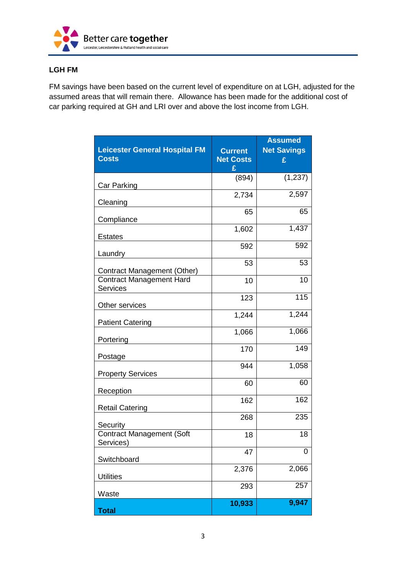

# **LGH FM**

FM savings have been based on the current level of expenditure on at LGH, adjusted for the assumed areas that will remain there. Allowance has been made for the additional cost of car parking required at GH and LRI over and above the lost income from LGH.

| <b>Leicester General Hospital FM</b><br><b>Costs</b> | <b>Current</b><br><b>Net Costs</b><br>£ | <b>Assumed</b><br><b>Net Savings</b><br>£ |
|------------------------------------------------------|-----------------------------------------|-------------------------------------------|
| Car Parking                                          | (894)                                   | (1, 237)                                  |
| Cleaning                                             | 2,734                                   | 2,597                                     |
| Compliance                                           | 65                                      | 65                                        |
| <b>Estates</b>                                       | 1,602                                   | 1,437                                     |
| Laundry                                              | 592                                     | 592                                       |
| <b>Contract Management (Other)</b>                   | 53                                      | 53                                        |
| <b>Contract Management Hard</b><br><b>Services</b>   | 10                                      | 10                                        |
| Other services                                       | 123                                     | 115                                       |
| <b>Patient Catering</b>                              | 1,244                                   | 1,244                                     |
| Portering                                            | 1,066                                   | 1,066                                     |
| Postage                                              | 170                                     | 149                                       |
| <b>Property Services</b>                             | 944                                     | 1,058                                     |
| Reception                                            | 60                                      | 60                                        |
| <b>Retail Catering</b>                               | 162                                     | 162                                       |
| Security                                             | 268                                     | 235                                       |
| <b>Contract Management (Soft</b><br>Services)        | 18                                      | 18                                        |
| Switchboard                                          | 47                                      | 0                                         |
| <b>Utilities</b>                                     | 2,376                                   | 2,066                                     |
| Waste                                                | 293                                     | 257                                       |
| <b>Total</b>                                         | 10,933                                  | 9,947                                     |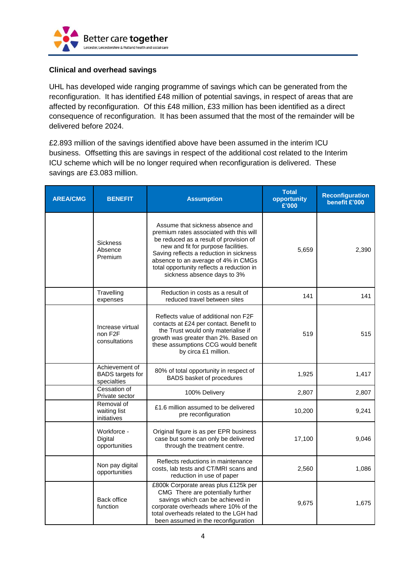

## **Clinical and overhead savings**

UHL has developed wide ranging programme of savings which can be generated from the reconfiguration. It has identified £48 million of potential savings, in respect of areas that are affected by reconfiguration. Of this £48 million, £33 million has been identified as a direct consequence of reconfiguration. It has been assumed that the most of the remainder will be delivered before 2024.

£2.893 million of the savings identified above have been assumed in the interim ICU business. Offsetting this are savings in respect of the additional cost related to the Interim ICU scheme which will be no longer required when reconfiguration is delivered. These savings are £3.083 million.

| <b>AREA/CMG</b> | <b>BENEFIT</b>                                            | <b>Assumption</b>                                                                                                                                                                                                                                                                                                          | <b>Total</b><br>opportunity<br>£'000 | <b>Reconfiguration</b><br>benefit £'000 |
|-----------------|-----------------------------------------------------------|----------------------------------------------------------------------------------------------------------------------------------------------------------------------------------------------------------------------------------------------------------------------------------------------------------------------------|--------------------------------------|-----------------------------------------|
|                 | <b>Sickness</b><br>Absence<br>Premium                     | Assume that sickness absence and<br>premium rates associated with this will<br>be reduced as a result of provision of<br>new and fit for purpose facilities.<br>Saving reflects a reduction in sickness<br>absence to an average of 4% in CMGs<br>total opportunity reflects a reduction in<br>sickness absence days to 3% | 5,659                                | 2,390                                   |
|                 | Travelling<br>expenses                                    | Reduction in costs as a result of<br>reduced travel between sites                                                                                                                                                                                                                                                          | 141                                  | 141                                     |
|                 | Increase virtual<br>non F <sub>2</sub> F<br>consultations | Reflects value of additional non F2F<br>contacts at £24 per contact. Benefit to<br>the Trust would only materialise if<br>growth was greater than 2%. Based on<br>these assumptions CCG would benefit<br>by circa £1 million.                                                                                              | 519                                  | 515                                     |
|                 | Achievement of<br><b>BADS</b> targets for<br>specialties  | 80% of total opportunity in respect of<br>BADS basket of procedures                                                                                                                                                                                                                                                        | 1,925                                | 1,417                                   |
|                 | Cessation of<br>Private sector                            | 100% Delivery                                                                                                                                                                                                                                                                                                              | 2,807                                | 2,807                                   |
|                 | Removal of<br>waiting list<br>initiatives                 | £1.6 million assumed to be delivered<br>pre reconfiguration                                                                                                                                                                                                                                                                | 10,200                               | 9,241                                   |
|                 | Workforce -<br>Digital<br>opportunities                   | Original figure is as per EPR business<br>case but some can only be delivered<br>through the treatment centre.                                                                                                                                                                                                             | 17,100                               | 9,046                                   |
|                 | Non pay digital<br>opportunities                          | Reflects reductions in maintenance<br>costs, lab tests and CT/MRI scans and<br>reduction in use of paper                                                                                                                                                                                                                   | 2,560                                | 1,086                                   |
|                 | <b>Back office</b><br>function                            | £800k Corporate areas plus £125k per<br>CMG There are potentially further<br>savings which can be achieved in<br>corporate overheads where 10% of the<br>total overheads related to the LGH had<br>been assumed in the reconfiguration                                                                                     | 9,675                                | 1,675                                   |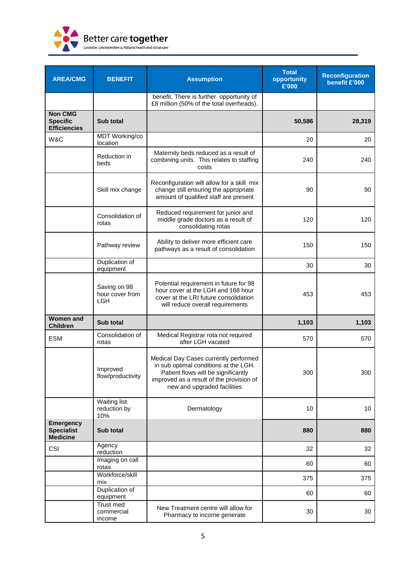

| <b>AREA/CMG</b>                                          | <b>BENEFIT</b>                                | <b>Assumption</b>                                                                                                                                                                                | <b>Total</b><br>opportunity<br>£'000 | <b>Reconfiguration</b><br>benefit £'000 |
|----------------------------------------------------------|-----------------------------------------------|--------------------------------------------------------------------------------------------------------------------------------------------------------------------------------------------------|--------------------------------------|-----------------------------------------|
|                                                          |                                               | benefit, There is further opportunity of<br>£8 million (50% of the total overheads).                                                                                                             |                                      |                                         |
| <b>Non CMG</b><br><b>Specific</b><br><b>Efficiencies</b> | Sub total                                     |                                                                                                                                                                                                  | 50,586                               | 28,319                                  |
| W&C                                                      | MDT Working/co<br>location                    |                                                                                                                                                                                                  | 20                                   | 20                                      |
|                                                          | Reduction in<br>beds                          | Maternity beds reduced as a result of<br>combining units. This relates to staffing<br>costs                                                                                                      | 240                                  | 240                                     |
|                                                          | Skill mix change                              | Reconfiguration will allow for a skill mix<br>change still ensuring the appropriate<br>amount of qualified staff are present                                                                     | 90                                   | 90                                      |
|                                                          | Consolidation of<br>rotas                     | Reduced requirement for junior and<br>middle grade doctors as a result of<br>consolidating rotas                                                                                                 | 120                                  | 120                                     |
|                                                          | Pathway review                                | Ability to deliver more efficient care<br>pathways as a result of consolidation                                                                                                                  | 150                                  | 150                                     |
|                                                          | Duplication of<br>equipment                   |                                                                                                                                                                                                  | 30                                   | 30                                      |
|                                                          | Saving on 98<br>hour cover from<br><b>LGH</b> | Potential requirement in future for 98<br>hour cover at the LGH and 168 hour<br>cover at the LRI future consolidation<br>will reduce overall requirements                                        | 453                                  | 453                                     |
| <b>Women and</b><br><b>Children</b>                      | Sub total                                     |                                                                                                                                                                                                  | 1,103                                | 1,103                                   |
| <b>ESM</b>                                               | Consolidation of<br>rotas                     | Medical Registrar rota not required<br>after LGH vacated                                                                                                                                         | 570                                  | 570                                     |
|                                                          | Improved<br>flow/productivity                 | Medical Day Cases currently performed<br>in sub optimal conditions at the LGH.<br>Patient flows will be significantly<br>improved as a result of the provision of<br>new and upgraded facilities | 300                                  | 300                                     |
|                                                          | <b>Waiting list</b><br>reduction by<br>10%    | Dermatology                                                                                                                                                                                      | 10                                   | 10                                      |
| <b>Emergency</b><br><b>Specialist</b><br><b>Medicine</b> | Sub total                                     |                                                                                                                                                                                                  | 880                                  | 880                                     |
| CSI                                                      | Agency<br>reduction                           |                                                                                                                                                                                                  | 32                                   | 32                                      |
|                                                          | Imaging on call<br>rotas                      |                                                                                                                                                                                                  | 60                                   | 60                                      |
|                                                          | Workforce/skill<br>mix                        |                                                                                                                                                                                                  | 375                                  | 375                                     |
|                                                          | Duplication of<br>equipment                   |                                                                                                                                                                                                  | 60                                   | 60                                      |
|                                                          | Trust med<br>commercial<br>income             | New Treatment centre will allow for<br>Pharmacy to income generate                                                                                                                               | 30                                   | 30                                      |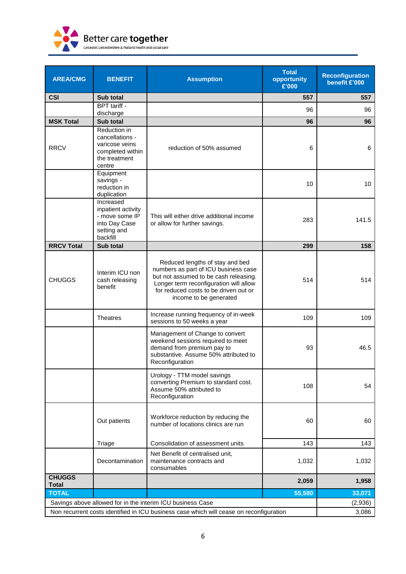

| <b>AREA/CMG</b>                                                                         | <b>BENEFIT</b>                                                                                   | <b>Assumption</b>                                                                                                                                                                                                             | <b>Total</b><br>opportunity<br>£'000 | <b>Reconfiguration</b><br>benefit £'000 |
|-----------------------------------------------------------------------------------------|--------------------------------------------------------------------------------------------------|-------------------------------------------------------------------------------------------------------------------------------------------------------------------------------------------------------------------------------|--------------------------------------|-----------------------------------------|
| <b>CSI</b>                                                                              | Sub total                                                                                        |                                                                                                                                                                                                                               | 557                                  | 557                                     |
|                                                                                         | BPT tariff -<br>discharge                                                                        |                                                                                                                                                                                                                               | 96                                   | 96                                      |
| <b>MSK Total</b>                                                                        | <b>Sub total</b>                                                                                 |                                                                                                                                                                                                                               | 96                                   | 96                                      |
| <b>RRCV</b>                                                                             | Reduction in<br>cancellations -<br>varicose veins<br>completed within<br>the treatment<br>centre | reduction of 50% assumed                                                                                                                                                                                                      | 6                                    | 6                                       |
|                                                                                         | Equipment<br>savings -<br>reduction in<br>duplication                                            |                                                                                                                                                                                                                               | 10                                   | 10                                      |
|                                                                                         | Increased<br>inpatient activity<br>- move some IP<br>into Day Case<br>setting and<br>backfill    | This will either drive additional income<br>or allow for further savings.                                                                                                                                                     | 283                                  | 141.5                                   |
| <b>RRCV Total</b>                                                                       | Sub total                                                                                        |                                                                                                                                                                                                                               | 299                                  | 158                                     |
| <b>CHUGGS</b>                                                                           | Interim ICU non<br>cash releasing<br>benefit                                                     | Reduced lengths of stay and bed<br>numbers as part of ICU business case<br>but not assumed to be cash releasing.<br>Longer term reconfiguration will allow<br>for reduced costs to be driven out or<br>income to be generated | 514                                  | 514                                     |
|                                                                                         | <b>Theatres</b>                                                                                  | Increase running frequency of in-week<br>sessions to 50 weeks a year                                                                                                                                                          | 109                                  | 109                                     |
|                                                                                         |                                                                                                  | Management of Change to convert<br>weekend sessions required to meet<br>demand from premium pay to<br>substantive. Assume 50% attributed to<br>Reconfiguration                                                                | 93                                   | 46.5                                    |
|                                                                                         |                                                                                                  | Urology - TTM model savings<br>converting Premium to standard cost.<br>Assume 50% attributed to<br>Reconfiguration                                                                                                            | 108                                  | 54                                      |
|                                                                                         | Out patients                                                                                     | Workforce reduction by reducing the<br>number of locations clinics are run                                                                                                                                                    | 60                                   | 60                                      |
|                                                                                         | Triage                                                                                           | Consolidation of assessment units                                                                                                                                                                                             | 143                                  | 143                                     |
|                                                                                         | Decontamination                                                                                  | Net Benefit of centralised unit,<br>maintenance contracts and<br>consumables                                                                                                                                                  | 1,032                                | 1,032                                   |
| <b>CHUGGS</b><br><b>Total</b>                                                           |                                                                                                  |                                                                                                                                                                                                                               | 2,059                                | 1,958                                   |
| <b>TOTAL</b>                                                                            |                                                                                                  |                                                                                                                                                                                                                               | 55,580                               | 33,071                                  |
| Savings above allowed for in the interim ICU business Case                              |                                                                                                  |                                                                                                                                                                                                                               |                                      | (2,936)                                 |
| Non recurrent costs identified in ICU business case which will cease on reconfiguration |                                                                                                  |                                                                                                                                                                                                                               |                                      | 3,086                                   |